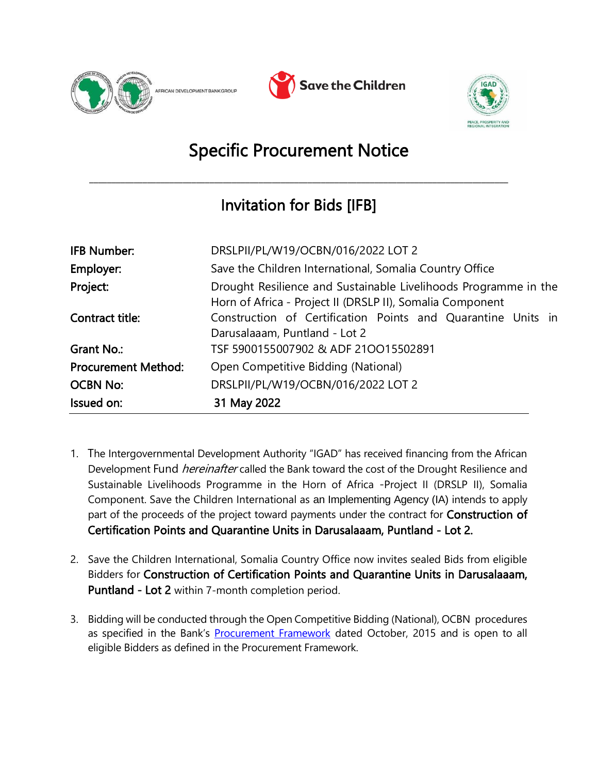





## Specific Procurement Notice

\_\_\_\_\_\_\_\_\_\_\_\_\_\_\_\_\_\_\_\_\_\_\_\_\_\_\_\_\_\_\_\_\_\_\_\_\_\_\_\_\_\_\_\_\_\_\_\_\_\_\_\_\_\_\_\_\_\_\_\_\_\_\_\_\_\_\_\_\_\_\_\_\_\_\_\_\_\_\_\_\_\_\_\_\_\_\_\_\_\_\_\_\_\_

## Invitation for Bids [IFB]

| <b>IFB Number:</b>         | DRSLPII/PL/W19/OCBN/016/2022 LOT 2                                                                                           |
|----------------------------|------------------------------------------------------------------------------------------------------------------------------|
| Employer:                  | Save the Children International, Somalia Country Office                                                                      |
| Project:                   | Drought Resilience and Sustainable Livelihoods Programme in the<br>Horn of Africa - Project II (DRSLP II), Somalia Component |
| Contract title:            | Construction of Certification Points and Quarantine Units in<br>Darusalaaam, Puntland - Lot 2                                |
| Grant No.:                 | TSF 5900155007902 & ADF 21OO15502891                                                                                         |
| <b>Procurement Method:</b> | Open Competitive Bidding (National)                                                                                          |
| <b>OCBN No:</b>            | DRSLPII/PL/W19/OCBN/016/2022 LOT 2                                                                                           |
| Issued on:                 | 31 May 2022                                                                                                                  |

- 1. The Intergovernmental Development Authority "IGAD" has received financing from the African Development Fund *hereinafter* called the Bank toward the cost of the Drought Resilience and Sustainable Livelihoods Programme in the Horn of Africa -Project II (DRSLP II), Somalia Component. Save the Children International as an Implementing Agency (IA) intends to apply part of the proceeds of the project toward payments under the contract for **Construction of** Certification Points and Quarantine Units in Darusalaaam, Puntland - Lot 2.
- 2. Save the Children International, Somalia Country Office now invites sealed Bids from eligible Bidders for Construction of Certification Points and Quarantine Units in Darusalaaam, Puntland - Lot 2 within 7-month completion period.
- 3. Bidding will be conducted through the Open Competitive Bidding (National), OCBN procedures as specified in the Bank's [Procurement Framework](https://www.afdb.org/en/projects-and-operations/procurement/new-procurement-policy) dated October, 2015 and is open to all eligible Bidders as defined in the Procurement Framework.